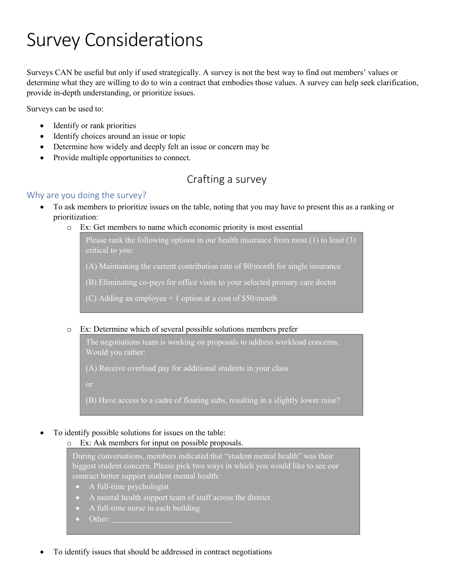# Survey Considerations

Surveys CAN be useful but only if used strategically. A survey is not the best way to find out members' values or determine what they are willing to do to win a contract that embodies those values. A survey can help seek clarification, provide in-depth understanding, or prioritize issues.

Surveys can be used to:

- Identify or rank priorities
- Identify choices around an issue or topic
- Determine how widely and deeply felt an issue or concern may be
- Provide multiple opportunities to connect.

# Crafting a survey

## Why are you doing the survey?

- To ask members to prioritize issues on the table, noting that you may have to present this as a ranking or prioritization:
	- o Ex: Get members to name which economic priority is most essential

Please rank the following options in our health insurance from most  $(1)$  to least  $(3)$ 

- (A) Maintaining the current contribution rate of \$0/month for single insurance
- (B) Eliminating co-pays for office visits to your selected primary care doctor
- (C) Adding an employee  $+1$  option at a cost of \$50/month

#### o Ex: Determine which of several possible solutions members prefer

The negotiations team is working on proposals to address workload concerns. Would you rather:

(A) Receive overload pay for additional students in your class

(B) Have access to a cadre of floating subs, resulting in a slightly lower raise?

#### • To identify possible solutions for issues on the table:

#### o Ex: Ask members for input on possible proposals.

During conversations, members indicated that "student mental health" was their biggest student concern. Please pick two ways in which you would like to see our contract better support student mental health:

- A full-time psychologist
- A mental health support team of staff across the district
- A full-time nurse in each building
- Other:
- To identify issues that should be addressed in contract negotiations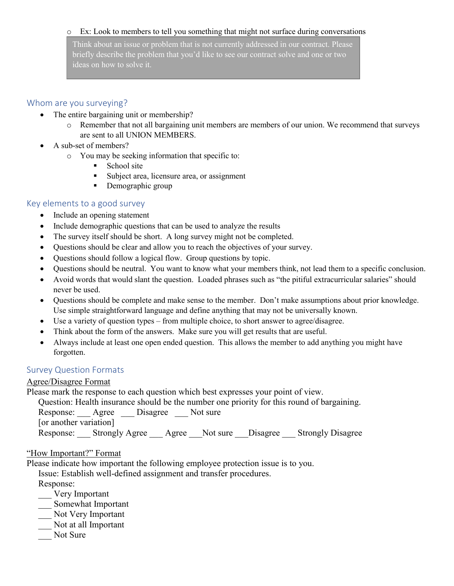#### o Ex: Look to members to tell you something that might not surface during conversations

Think about an issue or problem that is not currently addressed in our contract. Please briefly describe the problem that you'd like to see our contract solve and one or two ideas on how to solve it.

#### Whom are you surveying?

- The entire bargaining unit or membership?
	- o Remember that not all bargaining unit members are members of our union. We recommend that surveys are sent to all UNION MEMBERS.
- A sub-set of members?
	- o You may be seeking information that specific to:
		- School site
		- Subject area, licensure area, or assignment
		- Demographic group

## Key elements to a good survey

- Include an opening statement
- Include demographic questions that can be used to analyze the results
- The survey itself should be short. A long survey might not be completed.
- Questions should be clear and allow you to reach the objectives of your survey.
- Questions should follow a logical flow. Group questions by topic.
- Questions should be neutral. You want to know what your members think, not lead them to a specific conclusion.
- Avoid words that would slant the question. Loaded phrases such as "the pitiful extracurricular salaries" should never be used.
- Questions should be complete and make sense to the member. Don't make assumptions about prior knowledge. Use simple straightforward language and define anything that may not be universally known.
- Use a variety of question types from multiple choice, to short answer to agree/disagree.
- Think about the form of the answers. Make sure you will get results that are useful.
- Always include at least one open ended question. This allows the member to add anything you might have forgotten.

#### Survey Question Formats

#### Agree/Disagree Format

Please mark the response to each question which best expresses your point of view.

Question: Health insurance should be the number one priority for this round of bargaining. Response: Agree Disagree Not sure [or another variation] Response: Strongly Agree Agree Not sure Disagree Strongly Disagree

#### "How Important?" Format

Please indicate how important the following employee protection issue is to you.

Issue: Establish well-defined assignment and transfer procedures.

Response:

- \_\_\_ Very Important
- \_\_\_ Somewhat Important
- \_\_\_ Not Very Important
- \_\_\_ Not at all Important
- Not Sure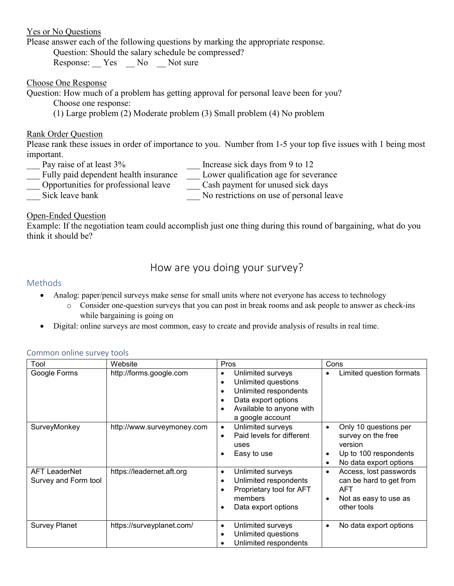## Yes or No Questions

Please answer each of the following questions by marking the appropriate response.

Question: Should the salary schedule be compressed?

Response: Yes No Not sure

# Choose One Response

Question: How much of a problem has getting approval for personal leave been for you?

Choose one response:

(1) Large problem (2) Moderate problem (3) Small problem (4) No problem

## Rank Order Question

Please rank these issues in order of importance to you. Number from 1-5 your top five issues with 1 being most important.

- - Pay raise of at least 3% Increase sick days from 9 to 12 Fully paid dependent health insurance Lower qualification age for severance
- \_\_\_ Opportunities for professional leave \_\_\_ Cash payment for unused sick days
- - Sick leave bank  $\blacksquare$  No restrictions on use of personal leave

# Open-Ended Question

Example: If the negotiation team could accomplish just one thing during this round of bargaining, what do you think it should be?

# How are you doing your survey?

# Methods

- Analog: paper/pencil surveys make sense for small units where not everyone has access to technology
	- o Consider one-question surveys that you can post in break rooms and ask people to answer as check-ins while bargaining is going on
- Digital: online surveys are most common, easy to create and provide analysis of results in real time.

| Tool                                         | Website                    | Pros                                                                                                                                                                                 | Cons                                                                                                                                     |
|----------------------------------------------|----------------------------|--------------------------------------------------------------------------------------------------------------------------------------------------------------------------------------|------------------------------------------------------------------------------------------------------------------------------------------|
| Google Forms                                 | http://forms.google.com    | Unlimited surveys<br>$\bullet$<br>Unlimited questions<br>$\bullet$<br>Unlimited respondents<br>٠<br>Data export options<br>Available to anyone with<br>$\bullet$<br>a google account | Limited question formats<br>$\bullet$                                                                                                    |
| SurveyMonkey                                 | http://www.surveymoney.com | Unlimited surveys<br>٠<br>Paid levels for different<br>$\bullet$<br>uses<br>Easy to use                                                                                              | Only 10 questions per<br>$\bullet$<br>survey on the free<br>version<br>Up to 100 respondents<br>٠<br>No data export options<br>$\bullet$ |
| <b>AFT LeaderNet</b><br>Survey and Form tool | https://leadernet.aft.org  | Unlimited surveys<br>$\bullet$<br>Unlimited respondents<br>$\bullet$<br>Proprietary tool for AFT<br>٥<br>members<br>Data export options                                              | Access, lost passwords<br>٠<br>can be hard to get from<br><b>AFT</b><br>Not as easy to use as<br>$\bullet$<br>other tools                |
| <b>Survey Planet</b>                         | https://surveyplanet.com/  | Unlimited surveys<br>$\bullet$<br>Unlimited questions<br>$\bullet$<br>Unlimited respondents                                                                                          | No data export options<br>$\bullet$                                                                                                      |

#### Common online survey tools